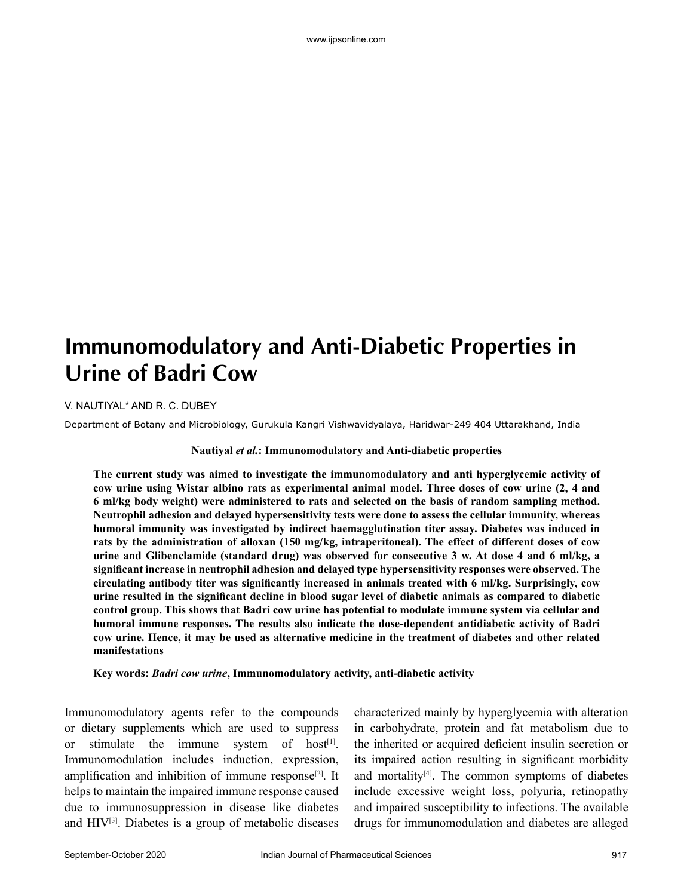# **Immunomodulatory and Anti-Diabetic Properties in Urine of Badri Cow**

V. NAUTIYAL\* AND R. C. DUBEY

Department of Botany and Microbiology, Gurukula Kangri Vishwavidyalaya, Haridwar-249 404 Uttarakhand, India

#### **Nautiyal** *et al.***: Immunomodulatory and Anti-diabetic properties**

**The current study was aimed to investigate the immunomodulatory and anti hyperglycemic activity of cow urine using Wistar albino rats as experimental animal model. Three doses of cow urine (2, 4 and 6 ml/kg body weight) were administered to rats and selected on the basis of random sampling method. Neutrophil adhesion and delayed hypersensitivity tests were done to assess the cellular immunity, whereas humoral immunity was investigated by indirect haemagglutination titer assay. Diabetes was induced in rats by the administration of alloxan (150 mg/kg, intraperitoneal). The effect of different doses of cow urine and Glibenclamide (standard drug) was observed for consecutive 3 w. At dose 4 and 6 ml/kg, a significant increase in neutrophil adhesion and delayed type hypersensitivity responses were observed. The circulating antibody titer was significantly increased in animals treated with 6 ml/kg. Surprisingly, cow urine resulted in the significant decline in blood sugar level of diabetic animals as compared to diabetic control group. This shows that Badri cow urine has potential to modulate immune system via cellular and humoral immune responses. The results also indicate the dose-dependent antidiabetic activity of Badri cow urine. Hence, it may be used as alternative medicine in the treatment of diabetes and other related manifestations**

**Key words:** *Badri cow urine***, Immunomodulatory activity, anti-diabetic activity**

Immunomodulatory agents refer to the compounds or dietary supplements which are used to suppress or stimulate the immune system of host<sup>[1]</sup>. Immunomodulation includes induction, expression, amplification and inhibition of immune response $[2]$ . It helps to maintain the impaired immune response caused due to immunosuppression in disease like diabetes and  $HIV^{[3]}$ . Diabetes is a group of metabolic diseases characterized mainly by hyperglycemia with alteration in carbohydrate, protein and fat metabolism due to the inherited or acquired deficient insulin secretion or its impaired action resulting in significant morbidity and mortality $[4]$ . The common symptoms of diabetes include excessive weight loss, polyuria, retinopathy and impaired susceptibility to infections. The available drugs for immunomodulation and diabetes are alleged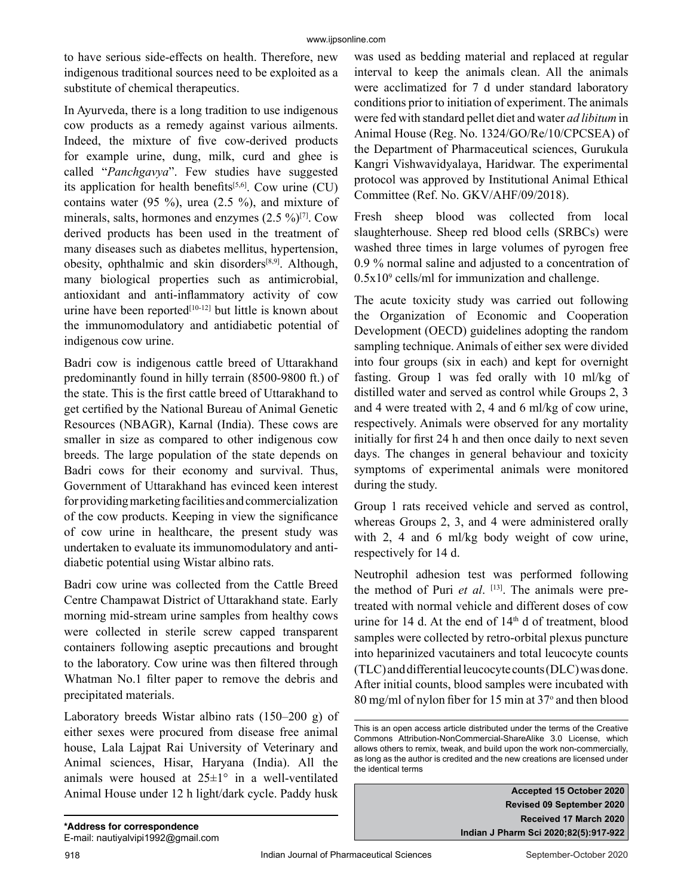to have serious side-effects on health. Therefore, new indigenous traditional sources need to be exploited as a substitute of chemical therapeutics.

In Ayurveda, there is a long tradition to use indigenous cow products as a remedy against various ailments. Indeed, the mixture of five cow-derived products for example urine, dung, milk, curd and ghee is called "*Panchgavya*". Few studies have suggested its application for health benefits $[5,6]$ . Cow urine (CU) contains water (95 %), urea (2.5 %), and mixture of minerals, salts, hormones and enzymes  $(2.5 \%)^{[7]}$ . Cow derived products has been used in the treatment of many diseases such as diabetes mellitus, hypertension, obesity, ophthalmic and skin disorders $[8,9]$ . Although, many biological properties such as antimicrobial, antioxidant and anti-inflammatory activity of cow urine have been reported $[10-12]$  but little is known about the immunomodulatory and antidiabetic potential of indigenous cow urine.

Badri cow is indigenous cattle breed of Uttarakhand predominantly found in hilly terrain (8500-9800 ft.) of the state. This is the first cattle breed of Uttarakhand to get certified by the National Bureau of Animal Genetic Resources (NBAGR), Karnal (India). These cows are smaller in size as compared to other indigenous cow breeds. The large population of the state depends on Badri cows for their economy and survival. Thus, Government of Uttarakhand has evinced keen interest for providing marketing facilities and commercialization of the cow products. Keeping in view the significance of cow urine in healthcare, the present study was undertaken to evaluate its immunomodulatory and antidiabetic potential using Wistar albino rats.

Badri cow urine was collected from the Cattle Breed Centre Champawat District of Uttarakhand state. Early morning mid-stream urine samples from healthy cows were collected in sterile screw capped transparent containers following aseptic precautions and brought to the laboratory. Cow urine was then filtered through Whatman No.1 filter paper to remove the debris and precipitated materials.

Laboratory breeds Wistar albino rats (150–200 g) of either sexes were procured from disease free animal house, Lala Lajpat Rai University of Veterinary and Animal sciences, Hisar, Haryana (India). All the animals were housed at  $25\pm1°$  in a well-ventilated Animal House under 12 h light/dark cycle. Paddy husk was used as bedding material and replaced at regular interval to keep the animals clean. All the animals were acclimatized for 7 d under standard laboratory conditions prior to initiation of experiment. The animals were fed with standard pellet diet and water *ad libitum* in Animal House (Reg. No. 1324/GO/Re/10/CPCSEA) of the Department of Pharmaceutical sciences, Gurukula Kangri Vishwavidyalaya, Haridwar. The experimental protocol was approved by Institutional Animal Ethical Committee (Ref. No. GKV/AHF/09/2018).

Fresh sheep blood was collected from local slaughterhouse. Sheep red blood cells (SRBCs) were washed three times in large volumes of pyrogen free 0.9 % normal saline and adjusted to a concentration of  $0.5x10<sup>9</sup>$  cells/ml for immunization and challenge.

The acute toxicity study was carried out following the Organization of Economic and Cooperation Development (OECD) guidelines adopting the random sampling technique. Animals of either sex were divided into four groups (six in each) and kept for overnight fasting. Group 1 was fed orally with 10 ml/kg of distilled water and served as control while Groups 2, 3 and 4 were treated with 2, 4 and 6 ml/kg of cow urine, respectively. Animals were observed for any mortality initially for first 24 h and then once daily to next seven days. The changes in general behaviour and toxicity symptoms of experimental animals were monitored during the study.

Group 1 rats received vehicle and served as control, whereas Groups 2, 3, and 4 were administered orally with 2, 4 and 6 ml/kg body weight of cow urine, respectively for 14 d.

Neutrophil adhesion test was performed following the method of Puri *et al.* [13]. The animals were pretreated with normal vehicle and different doses of cow urine for 14 d. At the end of  $14<sup>th</sup>$  d of treatment, blood samples were collected by retro-orbital plexus puncture into heparinized vacutainers and total leucocyte counts (TLC) and differential leucocyte counts (DLC) was done. After initial counts, blood samples were incubated with 80 mg/ml of nylon fiber for 15 min at 37° and then blood

**Accepted 15 October 2020 Revised 09 September 2020 Received 17 March 2020 Indian J Pharm Sci 2020;82(5):917-922**

This is an open access article distributed under the terms of the Creative Commons Attribution-NonCommercial-ShareAlike 3.0 License, which allows others to remix, tweak, and build upon the work non-commercially, as long as the author is credited and the new creations are licensed under the identical terms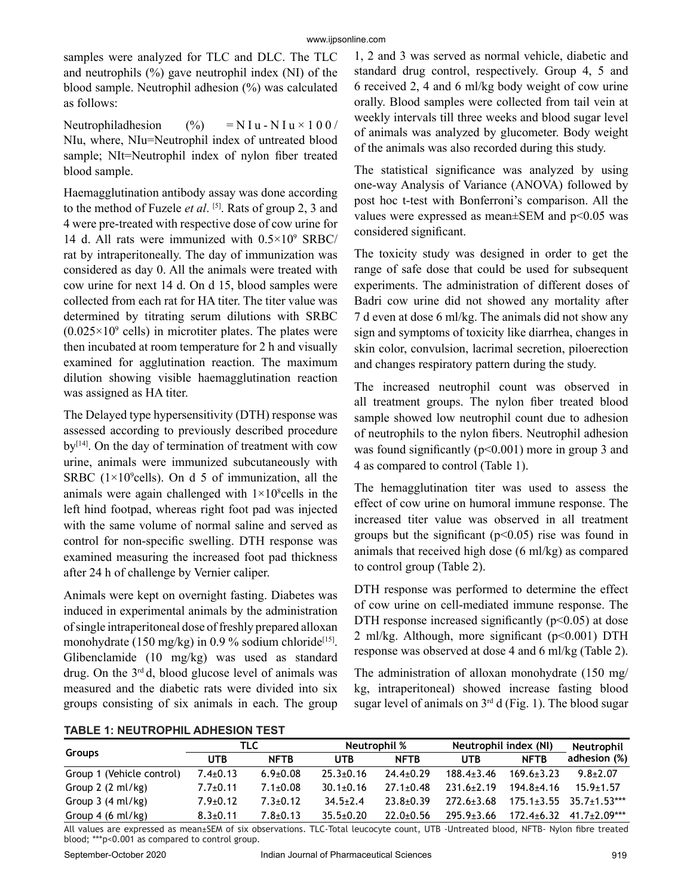samples were analyzed for TLC and DLC. The TLC and neutrophils  $(\%)$  gave neutrophil index (NI) of the blood sample. Neutrophil adhesion (%) was calculated as follows:

Neutrophiladhesion  $(%) = N I u - N I u \times 100/$ NIu, where, NIu=Neutrophil index of untreated blood sample; NIt=Neutrophil index of nylon fiber treated blood sample.

Haemagglutination antibody assay was done according to the method of Fuzele *et al*. [5]. Rats of group 2, 3 and 4 were pre-treated with respective dose of cow urine for 14 d. All rats were immunized with  $0.5 \times 10^9$  SRBC/ rat by intraperitoneally. The day of immunization was considered as day 0. All the animals were treated with cow urine for next 14 d. On d 15, blood samples were collected from each rat for HA titer. The titer value was determined by titrating serum dilutions with SRBC  $(0.025 \times 10^9 \text{ cells})$  in microtiter plates. The plates were then incubated at room temperature for 2 h and visually examined for agglutination reaction. The maximum dilution showing visible haemagglutination reaction was assigned as HA titer.

The Delayed type hypersensitivity (DTH) response was assessed according to previously described procedure  $by$ <sup>[14]</sup>. On the day of termination of treatment with cow urine, animals were immunized subcutaneously with SRBC ( $1\times10^9$ cells). On d 5 of immunization, all the animals were again challenged with  $1 \times 10^8$  cells in the left hind footpad, whereas right foot pad was injected with the same volume of normal saline and served as control for non-specific swelling. DTH response was examined measuring the increased foot pad thickness after 24 h of challenge by Vernier caliper.

Animals were kept on overnight fasting. Diabetes was induced in experimental animals by the administration of single intraperitoneal dose of freshly prepared alloxan monohydrate (150 mg/kg) in 0.9 % sodium chloride<sup>[15]</sup>. Glibenclamide (10 mg/kg) was used as standard drug. On the  $3<sup>rd</sup>$ d, blood glucose level of animals was measured and the diabetic rats were divided into six groups consisting of six animals in each. The group

1, 2 and 3 was served as normal vehicle, diabetic and standard drug control, respectively. Group 4, 5 and 6 received 2, 4 and 6 ml/kg body weight of cow urine orally. Blood samples were collected from tail vein at weekly intervals till three weeks and blood sugar level of animals was analyzed by glucometer. Body weight of the animals was also recorded during this study.

The statistical significance was analyzed by using one-way Analysis of Variance (ANOVA) followed by post hoc t-test with Bonferroni's comparison. All the values were expressed as mean $\pm$ SEM and p<0.05 was considered significant.

The toxicity study was designed in order to get the range of safe dose that could be used for subsequent experiments. The administration of different doses of Badri cow urine did not showed any mortality after 7 d even at dose 6 ml/kg. The animals did not show any sign and symptoms of toxicity like diarrhea, changes in skin color, convulsion, lacrimal secretion, piloerection and changes respiratory pattern during the study.

The increased neutrophil count was observed in all treatment groups. The nylon fiber treated blood sample showed low neutrophil count due to adhesion of neutrophils to the nylon fibers. Neutrophil adhesion was found significantly  $(p<0.001)$  more in group 3 and 4 as compared to control (Table 1).

The hemagglutination titer was used to assess the effect of cow urine on humoral immune response. The increased titer value was observed in all treatment groups but the significant  $(p<0.05)$  rise was found in animals that received high dose (6 ml/kg) as compared to control group (Table 2).

DTH response was performed to determine the effect of cow urine on cell-mediated immune response. The DTH response increased significantly  $(p<0.05)$  at dose 2 ml/kg. Although, more significant  $(p<0.001)$  DTH response was observed at dose 4 and 6 ml/kg (Table 2).

The administration of alloxan monohydrate (150 mg/ kg, intraperitoneal) showed increase fasting blood sugar level of animals on 3rd d (Fig. 1). The blood sugar

**TABLE 1: NEUTROPHIL ADHESION TEST**

| <b>Groups</b>               | TLC            |                | <b>Neutrophil %</b> |                 | Neutrophil index (NI) |                  | Neutrophil                      |
|-----------------------------|----------------|----------------|---------------------|-----------------|-----------------------|------------------|---------------------------------|
|                             | UTB            | <b>NFTB</b>    | <b>UTB</b>          | <b>NFTB</b>     | <b>UTB</b>            | <b>NFTB</b>      | adhesion (%)                    |
| Group 1 (Vehicle control)   | $7.4 \pm 0.13$ | $6.9 \pm 0.08$ | $25.3 \pm 0.16$     | $24.4+0.29$     | $188.4 \pm 3.46$      | $169.6 \pm 3.23$ | $9.8 + 2.07$                    |
| Group $2(2 \text{ ml/kg})$  | $7.7 \pm 0.11$ | $7.1 \pm 0.08$ | $30.1 \pm 0.16$     | $27.1 \pm 0.48$ | $231.6 + 2.19$        | $194.8 + 4.16$   | $15.9 + 1.57$                   |
| Group $3(4 \text{ ml/kg})$  | $7.9 \pm 0.12$ | $7.3 \pm 0.12$ | $34.5 \pm 2.4$      | $23.8 + 0.39$   | $272.6+3.68$          |                  | $175.1 + 3.55$ $35.7 + 1.53***$ |
| Group 4 $(6 \text{ ml/kg})$ | $8.3 \pm 0.11$ | $7.8 \pm 0.13$ | $35.5 \pm 0.20$     | $22.0 + 0.56$   | $295.9 \pm 3.66$      | $172.4 \pm 6.32$ | $41.7 \pm 2.09***$              |

All values are expressed as mean±SEM of six observations. TLC-Total leucocyte count, UTB -Untreated blood, NFTB- Nylon fibre treated blood; \*\*\*p<0.001 as compared to control group.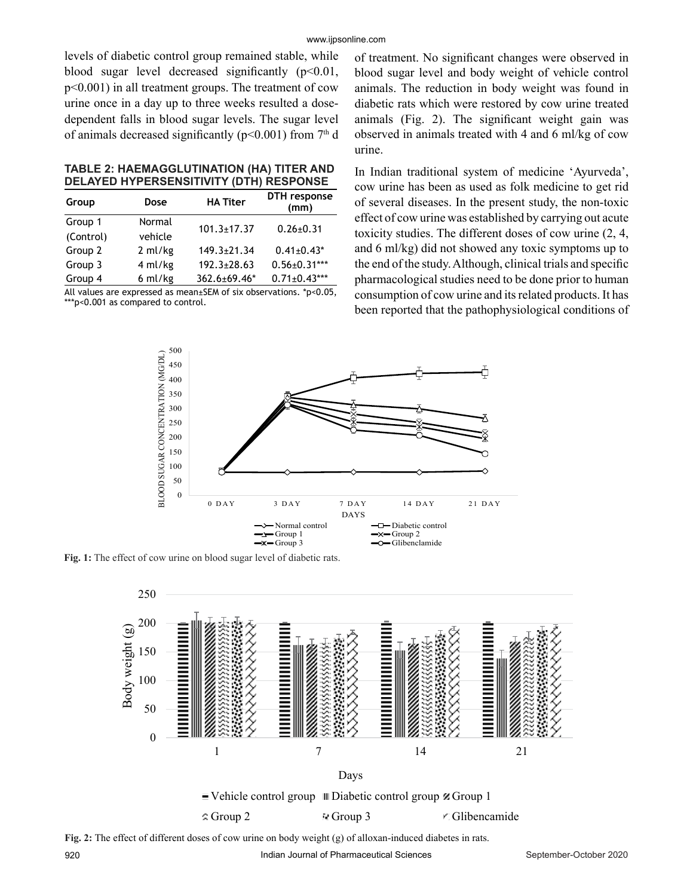levels of diabetic control group remained stable, while blood sugar level decreased significantly  $(p<0.01)$ , p<0.001) in all treatment groups. The treatment of cow urine once in a day up to three weeks resulted a dosedependent falls in blood sugar levels. The sugar level of animals decreased significantly ( $p<0.001$ ) from 7<sup>th</sup> d

**TABLE 2: HAEMAGGLUTINATION (HA) TITER AND DELAYED HYPERSENSITIVITY (DTH) RESPONSE**

| Group     | Dose    | <b>HA Titer</b>   | DTH response<br>(mm) |  |
|-----------|---------|-------------------|----------------------|--|
| Group 1   | Normal  | $101.3 \pm 17.37$ | $0.26 \pm 0.31$      |  |
| (Control) | vehicle |                   |                      |  |
| Group 2   | 2 ml/kg | $149.3 \pm 21.34$ | $0.41 \pm 0.43$ *    |  |
| Group 3   | 4 ml/kg | $192.3 \pm 28.63$ | $0.56 \pm 0.31***$   |  |
| Group 4   | 6 ml/kg | 362.6±69.46*      | $0.71 \pm 0.43***$   |  |

All values are expressed as mean±SEM of six observations. \*p<0.05, \*\*\*p<0.001 as compared to control.

of treatment. No significant changes were observed in blood sugar level and body weight of vehicle control animals. The reduction in body weight was found in diabetic rats which were restored by cow urine treated animals (Fig. 2). The significant weight gain was observed in animals treated with 4 and 6 ml/kg of cow urine.

In Indian traditional system of medicine 'Ayurveda', cow urine has been as used as folk medicine to get rid of several diseases. In the present study, the non-toxic effect of cow urine was established by carrying out acute toxicity studies. The different doses of cow urine (2, 4, and 6 ml/kg) did not showed any toxic symptoms up to the end of the study. Although, clinical trials and specific pharmacological studies need to be done prior to human consumption of cow urine and its related products. It has been reported that the pathophysiological conditions of



**Fig. 1:** The effect of cow urine on blood sugar level of diabetic rats.



**Fig. 2:** The effect of different doses of cow urine on body weight (g) of alloxan-induced diabetes in rats.

920 **Indian Journal of Pharmaceutical Sciences** September-October 2020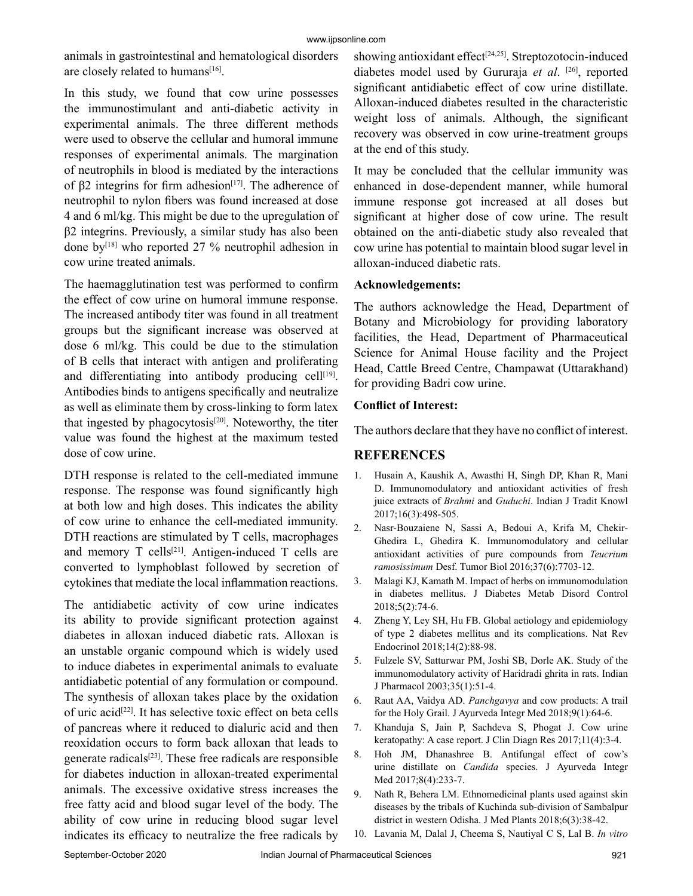animals in gastrointestinal and hematological disorders are closely related to humans<sup>[16]</sup>.

In this study, we found that cow urine possesses the immunostimulant and anti-diabetic activity in experimental animals. The three different methods were used to observe the cellular and humoral immune responses of experimental animals. The margination of neutrophils in blood is mediated by the interactions of β2 integrins for firm adhesion<sup>[17]</sup>. The adherence of neutrophil to nylon fibers was found increased at dose 4 and 6 ml/kg. This might be due to the upregulation of β2 integrins. Previously, a similar study has also been done by[18] who reported 27 % neutrophil adhesion in cow urine treated animals.

The haemagglutination test was performed to confirm the effect of cow urine on humoral immune response. The increased antibody titer was found in all treatment groups but the significant increase was observed at dose 6 ml/kg. This could be due to the stimulation of B cells that interact with antigen and proliferating and differentiating into antibody producing cell $[19]$ . Antibodies binds to antigens specifically and neutralize as well as eliminate them by cross-linking to form latex that ingested by phagocytosis<sup>[20]</sup>. Noteworthy, the titer value was found the highest at the maximum tested dose of cow urine.

DTH response is related to the cell-mediated immune response. The response was found significantly high at both low and high doses. This indicates the ability of cow urine to enhance the cell-mediated immunity. DTH reactions are stimulated by T cells, macrophages and memory  $T$  cells<sup>[21]</sup>. Antigen-induced  $T$  cells are converted to lymphoblast followed by secretion of cytokines that mediate the local inflammation reactions.

The antidiabetic activity of cow urine indicates its ability to provide significant protection against diabetes in alloxan induced diabetic rats. Alloxan is an unstable organic compound which is widely used to induce diabetes in experimental animals to evaluate antidiabetic potential of any formulation or compound. The synthesis of alloxan takes place by the oxidation of uric acid[22]. It has selective toxic effect on beta cells of pancreas where it reduced to dialuric acid and then reoxidation occurs to form back alloxan that leads to generate radicals[23]. These free radicals are responsible for diabetes induction in alloxan-treated experimental animals. The excessive oxidative stress increases the free fatty acid and blood sugar level of the body. The ability of cow urine in reducing blood sugar level indicates its efficacy to neutralize the free radicals by showing antioxidant effect<sup>[24,25]</sup>. Streptozotocin-induced diabetes model used by Gururaja *et al*. [26], reported significant antidiabetic effect of cow urine distillate. Alloxan-induced diabetes resulted in the characteristic weight loss of animals. Although, the significant recovery was observed in cow urine-treatment groups at the end of this study.

It may be concluded that the cellular immunity was enhanced in dose-dependent manner, while humoral immune response got increased at all doses but significant at higher dose of cow urine. The result obtained on the anti-diabetic study also revealed that cow urine has potential to maintain blood sugar level in alloxan-induced diabetic rats.

## **Acknowledgements:**

The authors acknowledge the Head, Department of Botany and Microbiology for providing laboratory facilities, the Head, Department of Pharmaceutical Science for Animal House facility and the Project Head, Cattle Breed Centre, Champawat (Uttarakhand) for providing Badri cow urine.

#### **Conflict of Interest:**

The authors declare that they have no conflict of interest.

## **REFERENCES**

- 1. Husain A, Kaushik A, Awasthi H, Singh DP, Khan R, Mani D. Immunomodulatory and antioxidant activities of fresh juice extracts of *Brahmi* and *Guduchi*. Indian J Tradit Knowl 2017;16(3):498-505.
- 2. Nasr-Bouzaiene N, Sassi A, Bedoui A, Krifa M, Chekir-Ghedira L, Ghedira K. Immunomodulatory and cellular antioxidant activities of pure compounds from *Teucrium ramosissimum* Desf. Tumor Biol 2016;37(6):7703-12.
- 3. Malagi KJ, Kamath M. Impact of herbs on immunomodulation in diabetes mellitus. J Diabetes Metab Disord Control 2018;5(2):74-6.
- 4. Zheng Y, Ley SH, Hu FB. Global aetiology and epidemiology of type 2 diabetes mellitus and its complications. Nat Rev Endocrinol 2018;14(2):88-98.
- 5. Fulzele SV, Satturwar PM, Joshi SB, Dorle AK. Study of the immunomodulatory activity of Haridradi ghrita in rats. Indian J Pharmacol 2003;35(1):51-4.
- 6. Raut AA, Vaidya AD. *Panchgavya* and cow products: A trail for the Holy Grail. J Ayurveda Integr Med 2018;9(1):64-6.
- 7. Khanduja S, Jain P, Sachdeva S, Phogat J. Cow urine keratopathy: A case report. J Clin Diagn Res 2017;11(4):3-4.
- 8. Hoh JM, Dhanashree B. Antifungal effect of cow's urine distillate on *Candida* species. J Ayurveda Integr Med 2017;8(4):233-7.
- 9. Nath R, Behera LM. Ethnomedicinal plants used against skin diseases by the tribals of Kuchinda sub-division of Sambalpur district in western Odisha. J Med Plants 2018;6(3):38-42.
- 10. Lavania M, Dalal J, Cheema S, Nautiyal C S, Lal B. *In vitro*